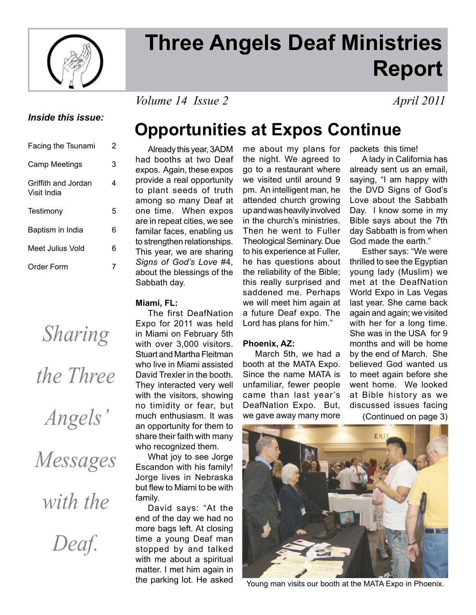

# **Three Angels Deaf Ministries Report**

*Volume 14 Issue 2 April 2011* 

### *Inside this issue:*

| Facing the Tsunami                 | 2 |
|------------------------------------|---|
| <b>Camp Meetings</b>               | 3 |
| Griffith and Jordan<br>Visit India | 4 |
| Testimony                          | 5 |
| Baptism in India                   | 6 |
| Meet Julius Vold                   | 6 |
| Order Form                         |   |

# *Sharing the Three*

*Angels'* 

*Messages* 

*with the* 

*Deaf.*

## **Opportunities at Expos Continue**

 Already this year, 3ADM had booths at two Deaf expos. Again, these expos provide a real opportunity to plant seeds of truth among so many Deaf at one time. When expos are in repeat cities, we see familar faces, enabling us to strengthen relationships. This year, we are sharing *Signs of God's Love* #4, about the blessings of the Sabbath day.

### **Miami, FL:**

 The first DeafNation Expo for 2011 was held in Miami on February 5th with over 3,000 visitors. Stuart and Martha Fleitman who live in Miami assisted David Trexler in the booth. They interacted very well with the visitors, showing no timidity or fear, but much enthusiasm. It was an opportunity for them to share their faith with many who recognized them.

 What joy to see Jorge Escandon with his family! Jorge lives in Nebraska but flew to Miami to be with family.

 David says: "At the end of the day we had no more bags left. At closing time a young Deaf man stopped by and talked with me about a spiritual matter. I met him again in the parking lot. He asked

me about my plans for the night. We agreed to go to a restaurant where we visited until around 9 pm. An intelligent man, he attended church growing up and was heavily involved in the church's ministries. Then he went to Fuller Theological Seminary. Due to his experience at Fuller, he has questions about the reliability of the Bible; this really surprised and saddened me. Perhaps we will meet him again at a future Deaf expo. The Lord has plans for him."

### **Phoenix, AZ:**

 March 5th, we had a booth at the MATA Expo. Since the name MATA is unfamiliar, fewer people came than last year's DeafNation Expo. But, we gave away many more

packets this time!

 A lady in California has already sent us an email, saying, "I am happy with the DVD Signs of God's Love about the Sabbath Day. I know some in my Bible says about the 7th day Sabbath is from when God made the earth."

 Esther says: "We were thrilled to see the Egyptian young lady (Muslim) we met at the DeafNation World Expo in Las Vegas last year. She came back again and again; we visited with her for a long time. She was in the USA for 9 months and will be home by the end of March. She believed God wanted us to meet again before she went home. We looked at Bible history as we discussed issues facing (Continued on page 3)



Young man visits our booth at the MATA Expo in Phoenix.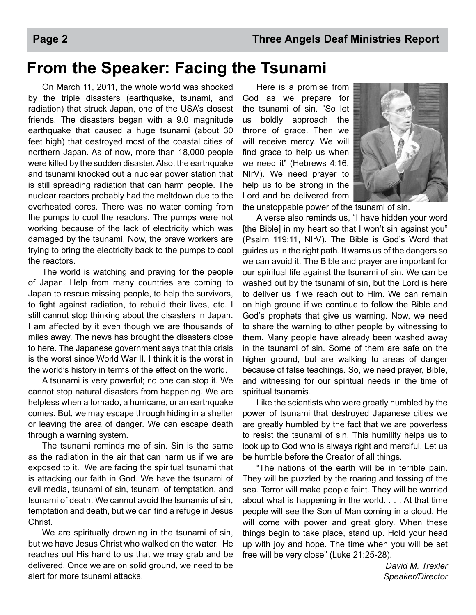## **From the Speaker: Facing the Tsunami**

 On March 11, 2011, the whole world was shocked by the triple disasters (earthquake, tsunami, and radiation) that struck Japan, one of the USA's closest friends. The disasters began with a 9.0 magnitude earthquake that caused a huge tsunami (about 30 feet high) that destroyed most of the coastal cities of northern Japan. As of now, more than 18,000 people were killed by the sudden disaster. Also, the earthquake and tsunami knocked out a nuclear power station that is still spreading radiation that can harm people. The nuclear reactors probably had the meltdown due to the overheated cores. There was no water coming from the pumps to cool the reactors. The pumps were not working because of the lack of electricity which was damaged by the tsunami. Now, the brave workers are trying to bring the electricity back to the pumps to cool the reactors.

 The world is watching and praying for the people of Japan. Help from many countries are coming to Japan to rescue missing people, to help the survivors, to fight against radiation, to rebuild their lives, etc. I still cannot stop thinking about the disasters in Japan. I am affected by it even though we are thousands of miles away. The news has brought the disasters close to here. The Japanese government says that this crisis is the worst since World War II. I think it is the worst in the world's history in terms of the effect on the world.

 A tsunami is very powerful; no one can stop it. We cannot stop natural disasters from happening. We are helpless when a tornado, a hurricane, or an earthquake comes. But, we may escape through hiding in a shelter or leaving the area of danger. We can escape death through a warning system.

 The tsunami reminds me of sin. Sin is the same as the radiation in the air that can harm us if we are exposed to it. We are facing the spiritual tsunami that is attacking our faith in God. We have the tsunami of evil media, tsunami of sin, tsunami of temptation, and tsunami of death. We cannot avoid the tsunamis of sin, temptation and death, but we can find a refuge in Jesus Christ.

 We are spiritually drowning in the tsunami of sin, but we have Jesus Christ who walked on the water. He reaches out His hand to us that we may grab and be delivered. Once we are on solid ground, we need to be alert for more tsunami attacks.

 Here is a promise from God as we prepare for the tsunami of sin. "So let us boldly approach the throne of grace. Then we will receive mercy. We will find grace to help us when we need it" (Hebrews 4:16, NIrV). We need prayer to help us to be strong in the Lord and be delivered from



the unstoppable power of the tsunami of sin.

 A verse also reminds us, "I have hidden your word [the Bible] in my heart so that I won't sin against you" (Psalm 119:11, NIrV). The Bible is God's Word that guides us in the right path. It warns us of the dangers so we can avoid it. The Bible and prayer are important for our spiritual life against the tsunami of sin. We can be washed out by the tsunami of sin, but the Lord is here to deliver us if we reach out to Him. We can remain on high ground if we continue to follow the Bible and God's prophets that give us warning. Now, we need to share the warning to other people by witnessing to them. Many people have already been washed away in the tsunami of sin. Some of them are safe on the higher ground, but are walking to areas of danger because of false teachings. So, we need prayer, Bible, and witnessing for our spiritual needs in the time of spiritual tsunamis.

 Like the scientists who were greatly humbled by the power of tsunami that destroyed Japanese cities we are greatly humbled by the fact that we are powerless to resist the tsunami of sin. This humility helps us to look up to God who is always right and merciful. Let us be humble before the Creator of all things.

 "The nations of the earth will be in terrible pain. They will be puzzled by the roaring and tossing of the sea. Terror will make people faint. They will be worried about what is happening in the world. . . . At that time people will see the Son of Man coming in a cloud. He will come with power and great glory. When these things begin to take place, stand up. Hold your head up with joy and hope. The time when you will be set free will be very close" (Luke 21:25-28).

*David M. Trexler Speaker/Director*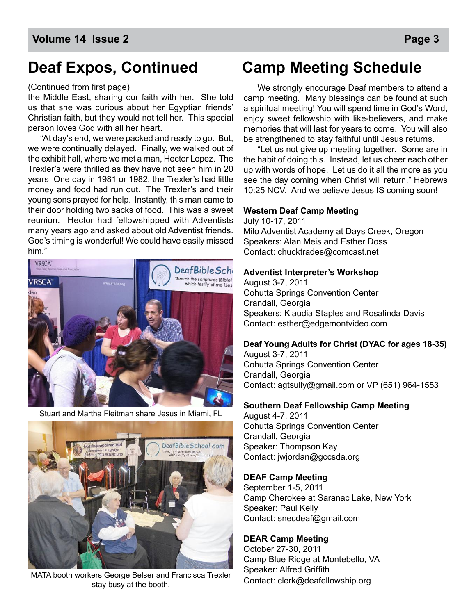#### (Continued from first page)

the Middle East, sharing our faith with her. She told us that she was curious about her Egyptian friends' Christian faith, but they would not tell her. This special person loves God with all her heart.

 "At day's end, we were packed and ready to go. But, we were continually delayed. Finally, we walked out of the exhibit hall, where we met a man, Hector Lopez. The Trexler's were thrilled as they have not seen him in 20 years One day in 1981 or 1982, the Trexler's had little money and food had run out. The Trexler's and their young sons prayed for help. Instantly, this man came to their door holding two sacks of food. This was a sweet reunion. Hector had fellowshipped with Adventists many years ago and asked about old Adventist friends. God's timing is wonderful! We could have easily missed him."



Stuart and Martha Fleitman share Jesus in Miami, FL



MATA booth workers George Belser and Francisca Trexler stay busy at the booth.

### **Deaf Expos, Continued Camp Meeting Schedule**

 We strongly encourage Deaf members to attend a camp meeting. Many blessings can be found at such a spiritual meeting! You will spend time in God's Word, enjoy sweet fellowship with like-believers, and make memories that will last for years to come. You will also be strengthened to stay faithful until Jesus returns.

 "Let us not give up meeting together. Some are in the habit of doing this. Instead, let us cheer each other up with words of hope. Let us do it all the more as you see the day coming when Christ will return." Hebrews 10:25 NCV. And we believe Jesus IS coming soon!

#### **Western Deaf Camp Meeting**

July 10-17, 2011 Milo Adventist Academy at Days Creek, Oregon Speakers: Alan Meis and Esther Doss Contact: chucktrades@comcast.net

#### **Adventist Interpreter's Workshop**

August 3-7, 2011 Cohutta Springs Convention Center Crandall, Georgia Speakers: Klaudia Staples and Rosalinda Davis Contact: esther@edgemontvideo.com

#### **Deaf Young Adults for Christ (DYAC for ages 18-35)**

August 3-7, 2011 Cohutta Springs Convention Center Crandall, Georgia Contact: agtsully@gmail.com or VP (651) 964-1553

#### **Southern Deaf Fellowship Camp Meeting**

August 4-7, 2011 Cohutta Springs Convention Center Crandall, Georgia Speaker: Thompson Kay Contact: jwjordan@gccsda.org

#### **DEAF Camp Meeting**

September 1-5, 2011 Camp Cherokee at Saranac Lake, New York Speaker: Paul Kelly Contact: snecdeaf@gmail.com

#### **DEAR Camp Meeting**

October 27-30, 2011 Camp Blue Ridge at Montebello, VA Speaker: Alfred Griffith Contact: clerk@deafellowship.org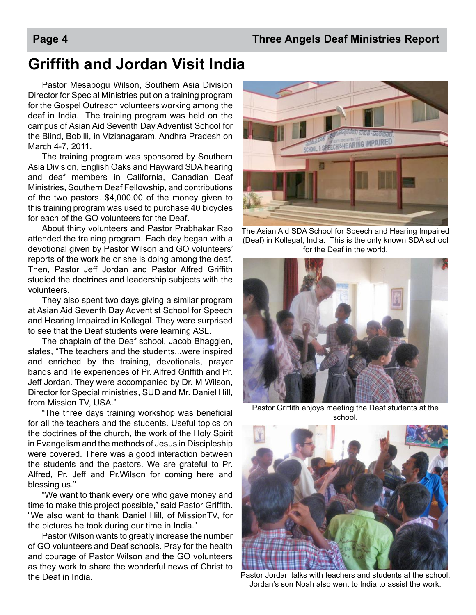### **Griffith and Jordan Visit India**

Pastor Mesapogu Wilson, Southern Asia Division Director for Special Ministries put on a training program for the Gospel Outreach volunteers working among the deaf in India. The training program was held on the campus of Asian Aid Seventh Day Adventist School for the Blind, Bobilli, in Vizianagaram, Andhra Pradesh on March 4-7, 2011.

The training program was sponsored by Southern Asia Division, English Oaks and Hayward SDA hearing and deaf members in California, Canadian Deaf Ministries, Southern Deaf Fellowship, and contributions of the two pastors. \$4,000.00 of the money given to this training program was used to purchase 40 bicycles for each of the GO volunteers for the Deaf.

About thirty volunteers and Pastor Prabhakar Rao attended the training program. Each day began with a devotional given by Pastor Wilson and GO volunteers' reports of the work he or she is doing among the deaf. Then, Pastor Jeff Jordan and Pastor Alfred Griffith studied the doctrines and leadership subjects with the volunteers.

They also spent two days giving a similar program at Asian Aid Seventh Day Adventist School for Speech and Hearing Impaired in Kollegal. They were surprised to see that the Deaf students were learning ASL.

The chaplain of the Deaf school, Jacob Bhaggien, states, "The teachers and the students...were inspired and enriched by the training, devotionals, prayer bands and life experiences of Pr. Alfred Griffith and Pr. Jeff Jordan. They were accompanied by Dr. M Wilson, Director for Special ministries, SUD and Mr. Daniel Hill, from Mission TV, USA."

"The three days training workshop was beneficial for all the teachers and the students. Useful topics on the doctrines of the church, the work of the Holy Spirit in Evangelism and the methods of Jesus in Discipleship were covered. There was a good interaction between the students and the pastors. We are grateful to Pr. Alfred, Pr. Jeff and Pr.Wilson for coming here and blessing us."

"We want to thank every one who gave money and time to make this project possible," said Pastor Griffith. "We also want to thank Daniel Hill, of MissionTV, for the pictures he took during our time in India."

Pastor Wilson wants to greatly increase the number of GO volunteers and Deaf schools. Pray for the health and courage of Pastor Wilson and the GO volunteers as they work to share the wonderful news of Christ to



SPEECH SHEARING IMPAIRED

(Deaf) in Kollegal, India. This is the only known SDA school for the Deaf in the world.



Pastor Griffith enjoys meeting the Deaf students at the school.



the Deaf in India. Pastor Jordan talks with teachers and students at the school. Jordan's son Noah also went to India to assist the work.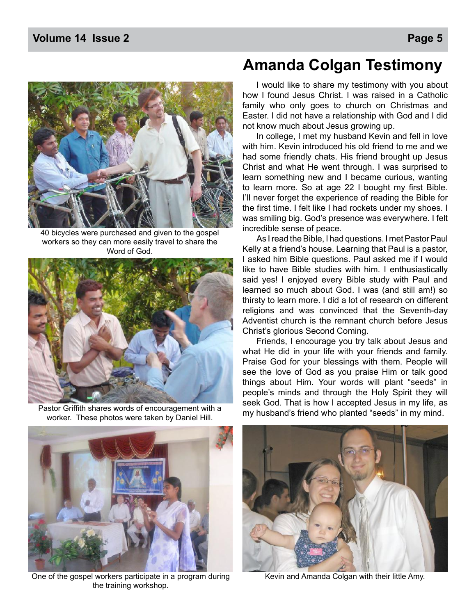

40 bicycles were purchased and given to the gospel workers so they can more easily travel to share the Word of God.



Pastor Griffith shares words of encouragement with a worker. These photos were taken by Daniel Hill.

### **Amanda Colgan Testimony**

 I would like to share my testimony with you about how I found Jesus Christ. I was raised in a Catholic family who only goes to church on Christmas and Easter. I did not have a relationship with God and I did not know much about Jesus growing up.

 In college, I met my husband Kevin and fell in love with him. Kevin introduced his old friend to me and we had some friendly chats. His friend brought up Jesus Christ and what He went through. I was surprised to learn something new and I became curious, wanting to learn more. So at age 22 I bought my first Bible. I'll never forget the experience of reading the Bible for the first time. I felt like I had rockets under my shoes. I was smiling big. God's presence was everywhere. I felt incredible sense of peace.

 As I read the Bible, I had questions. I met Pastor Paul Kelly at a friend's house. Learning that Paul is a pastor, I asked him Bible questions. Paul asked me if I would like to have Bible studies with him. I enthusiastically said yes! I enjoyed every Bible study with Paul and learned so much about God. I was (and still am!) so thirsty to learn more. I did a lot of research on different religions and was convinced that the Seventh-day Adventist church is the remnant church before Jesus Christ's glorious Second Coming.

 Friends, I encourage you try talk about Jesus and what He did in your life with your friends and family. Praise God for your blessings with them. People will see the love of God as you praise Him or talk good things about Him. Your words will plant "seeds" in people's minds and through the Holy Spirit they will seek God. That is how I accepted Jesus in my life, as my husband's friend who planted "seeds" in my mind.



One of the gospel workers participate in a program during Kevin and Amanda Colgan with their little Amy. the training workshop.

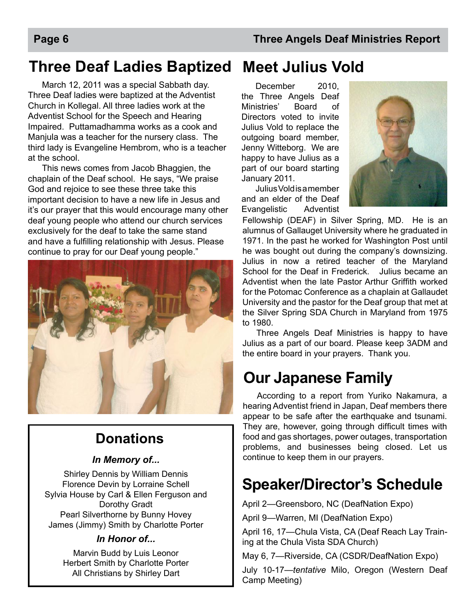## **Three Deaf Ladies Baptized Meet Julius Vold**

 March 12, 2011 was a special Sabbath day. Three Deaf ladies were baptized at the Adventist Church in Kollegal. All three ladies work at the Adventist School for the Speech and Hearing Impaired. Puttamadhamma works as a cook and Manjula was a teacher for the nursery class. The third lady is Evangeline Hembrom, who is a teacher at the school.

 This news comes from Jacob Bhaggien, the chaplain of the Deaf school. He says, "We praise God and rejoice to see these three take this important decision to have a new life in Jesus and it's our prayer that this would encourage many other deaf young people who attend our church services exclusively for the deaf to take the same stand and have a fulfilling relationship with Jesus. Please continue to pray for our Deaf young people."



### **Donations**

### *In Memory of...*

Shirley Dennis by William Dennis Florence Devin by Lorraine Schell Sylvia House by Carl & Ellen Ferguson and Dorothy Gradt Pearl Silverthorne by Bunny Hovey James (Jimmy) Smith by Charlotte Porter

### *In Honor of...*

Marvin Budd by Luis Leonor Herbert Smith by Charlotte Porter All Christians by Shirley Dart

December 2010. the Three Angels Deaf Ministries' Board of Directors voted to invite Julius Vold to replace the outgoing board member, Jenny Witteborg. We are happy to have Julius as a part of our board starting January 2011.

Julius Vold is a member and an elder of the Deaf Evangelistic Adventist



Fellowship (DEAF) in Silver Spring, MD. He is an alumnus of Gallauget University where he graduated in 1971. In the past he worked for Washington Post until he was bought out during the company's downsizing. Julius in now a retired teacher of the Maryland School for the Deaf in Frederick. Julius became an Adventist when the late Pastor Arthur Griffith worked for the Potomac Conference as a chaplain at Gallaudet University and the pastor for the Deaf group that met at the Silver Spring SDA Church in Maryland from 1975 to 1980.

Three Angels Deaf Ministries is happy to have Julius as a part of our board. Please keep 3ADM and the entire board in your prayers. Thank you.

## **Our Japanese Family**

According to a report from Yuriko Nakamura, a hearing Adventist friend in Japan, Deaf members there appear to be safe after the earthquake and tsunami. They are, however, going through difficult times with food and gas shortages, power outages, transportation problems, and businesses being closed. Let us continue to keep them in our prayers.

## **Speaker/Director's Schedule**

April 2—Greensboro, NC (DeafNation Expo) April 9—Warren, MI (DeafNation Expo)

April 16, 17—Chula Vista, CA (Deaf Reach Lay Training at the Chula Vista SDA Church)

May 6, 7—Riverside, CA (CSDR/DeafNation Expo)

July 10-17—*tentative* Milo, Oregon (Western Deaf Camp Meeting)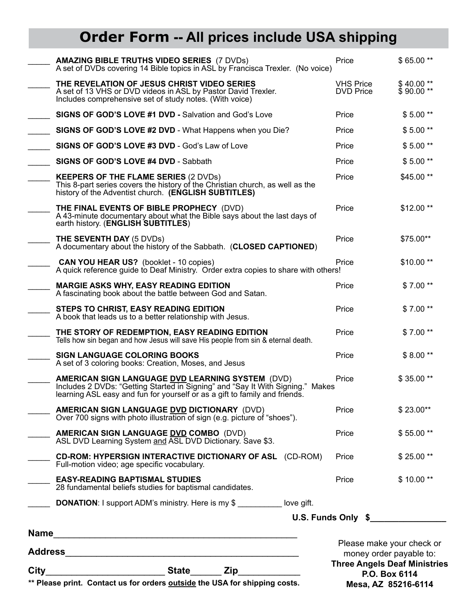## **Order Form -- All prices include USA shipping**

| _______________________State_______ Zip_______<br>$City$ <sub>__</sub><br>** Please print. Contact us for orders outside the USA for shipping costs. |                                                                                                                                                                                                                         | Please make your check or<br>money order payable to:<br><b>Three Angels Deaf Ministries</b><br>P.O. Box 6114<br>Mesa, AZ 85216-6114 |                        |
|------------------------------------------------------------------------------------------------------------------------------------------------------|-------------------------------------------------------------------------------------------------------------------------------------------------------------------------------------------------------------------------|-------------------------------------------------------------------------------------------------------------------------------------|------------------------|
|                                                                                                                                                      |                                                                                                                                                                                                                         |                                                                                                                                     |                        |
|                                                                                                                                                      | <b>DONATION:</b> I support ADM's ministry. Here is my \$                                                                                                                                                                |                                                                                                                                     |                        |
|                                                                                                                                                      | <b>EASY-READING BAPTISMAL STUDIES</b><br>28 fundamental beliefs studies for baptismal candidates.                                                                                                                       | Price                                                                                                                               | $$10.00**$             |
|                                                                                                                                                      | <b>CD-ROM: HYPERSIGN INTERACTIVE DICTIONARY OF ASL (CD-ROM)</b><br>Full-motion video; age specific vocabulary.                                                                                                          | Price                                                                                                                               | \$25.00**              |
|                                                                                                                                                      | AMERICAN SIGN LANGUAGE DVD COMBO (DVD)<br>ASL DVD Learning System and ASL DVD Dictionary. Save \$3.                                                                                                                     | Price                                                                                                                               | $$55.00**$             |
|                                                                                                                                                      | <b>AMERICAN SIGN LANGUAGE DVD DICTIONARY</b> (DVD)<br>Over 700 signs with photo illustration of sign (e.g. picture of "shoes").                                                                                         | Price                                                                                                                               | $$23.00**$             |
|                                                                                                                                                      | <b>AMERICAN SIGN LANGUAGE DVD LEARNING SYSTEM (DVD)</b><br>Includes 2 DVDs: "Getting Started in Signing" and "Say It With Signing." Makes<br>learning ASL easy and fun for yourself or as a gift to family and friends. | Price                                                                                                                               | \$35.00**              |
|                                                                                                                                                      | <b>SIGN LANGUAGE COLORING BOOKS</b><br>A set of 3 coloring books: Creation, Moses, and Jesus                                                                                                                            | Price                                                                                                                               | $$8.00**$              |
|                                                                                                                                                      | THE STORY OF REDEMPTION, EASY READING EDITION<br>Tells how sin began and how Jesus will save His people from sin & eternal death.                                                                                       | Price                                                                                                                               | $$7.00**$              |
|                                                                                                                                                      | STEPS TO CHRIST, EASY READING EDITION<br>A book that leads us to a better relationship with Jesus.                                                                                                                      | Price                                                                                                                               | $$7.00**$              |
|                                                                                                                                                      | <b>MARGIE ASKS WHY, EASY READING EDITION</b><br>A fascinating book about the battle between God and Satan.                                                                                                              | Price                                                                                                                               | $$7.00**$              |
|                                                                                                                                                      | <b>CAN YOU HEAR US?</b> (booklet - 10 copies)<br>A quick reference guide to Deaf Ministry. Order extra copies to share with others!                                                                                     | Price                                                                                                                               | \$10.00**              |
|                                                                                                                                                      | THE SEVENTH DAY (5 DVDs)<br>A documentary about the history of the Sabbath. (CLOSED CAPTIONED)                                                                                                                          | Price                                                                                                                               | \$75.00**              |
|                                                                                                                                                      | THE FINAL EVENTS OF BIBLE PROPHECY (DVD)<br>A 43-minute documentary about what the Bible says about the last days of<br>earth history. (ENGLISH SUBTITLES)                                                              | Price                                                                                                                               | \$12.00**              |
|                                                                                                                                                      | <b>KEEPERS OF THE FLAME SERIES (2 DVDs)</b><br>This 8-part series covers the history of the Christian church, as well as the<br>history of the Adventist church. (ENGLISH SUBTITLES)                                    | Price                                                                                                                               | \$45.00**              |
|                                                                                                                                                      | SIGNS OF GOD'S LOVE #4 DVD - Sabbath                                                                                                                                                                                    | Price                                                                                                                               | $$5.00**$              |
|                                                                                                                                                      | SIGNS OF GOD'S LOVE #3 DVD - God's Law of Love                                                                                                                                                                          | Price                                                                                                                               | $$5.00**$              |
|                                                                                                                                                      | SIGNS OF GOD'S LOVE #2 DVD - What Happens when you Die?                                                                                                                                                                 | Price                                                                                                                               | $$5.00**$              |
|                                                                                                                                                      | SIGNS OF GOD'S LOVE #1 DVD - Salvation and God's Love                                                                                                                                                                   | Price                                                                                                                               | $$5.00**$              |
|                                                                                                                                                      | THE REVELATION OF JESUS CHRIST VIDEO SERIES<br>A set of 13 VHS or DVD videos in ASL by Pastor David Trexler.<br>Includes comprehensive set of study notes. (With voice)                                                 | <b>VHS Price</b><br><b>DVD Price</b>                                                                                                | \$40.00**<br>\$90.00** |
|                                                                                                                                                      | <b>AMAZING BIBLE TRUTHS VIDEO SERIES (7 DVDs)</b><br>A set of DVDs covering 14 Bible topics in ASL by Francisca Trexler. (No voice)                                                                                     | Price                                                                                                                               | \$65.00**              |